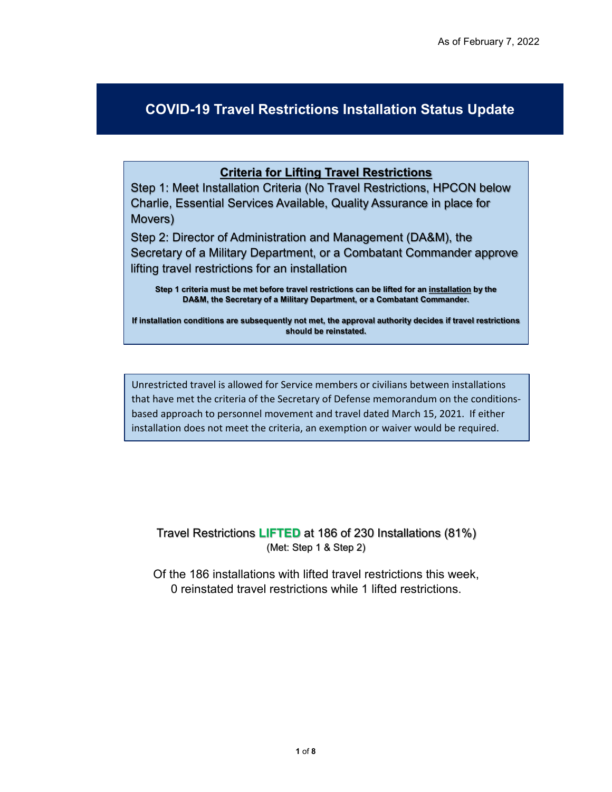## **COVID-19 Travel Restrictions Installation Status Update**

## **Criteria for Lifting Travel Restrictions**

Step 1: Meet Installation Criteria (No Travel Restrictions, HPCON below Charlie, Essential Services Available, Quality Assurance in place for Movers)

Step 2: Director of Administration and Management (DA&M), the Secretary of a Military Department, or a Combatant Commander approve lifting travel restrictions for an installation

**Step 1 criteria must be met before travel restrictions can be lifted for an installation by the DA&M, the Secretary of a Military Department, or a Combatant Commander.** 

**If installation conditions are subsequently not met, the approval authority decides if travel restrictions should be reinstated.** 

Unrestricted travel is allowed for Service members or civilians between installations that have met the criteria of the Secretary of Defense memorandum on the conditionsbased approach to personnel movement and travel dated March 15, 2021. If either installation does not meet the criteria, an exemption or waiver would be required.

Travel Restrictions **LIFTED** at 186 of 230 Installations (81%) (Met: Step 1 & Step 2)

Of the 186 installations with lifted travel restrictions this week, 0 reinstated travel restrictions while 1 lifted restrictions.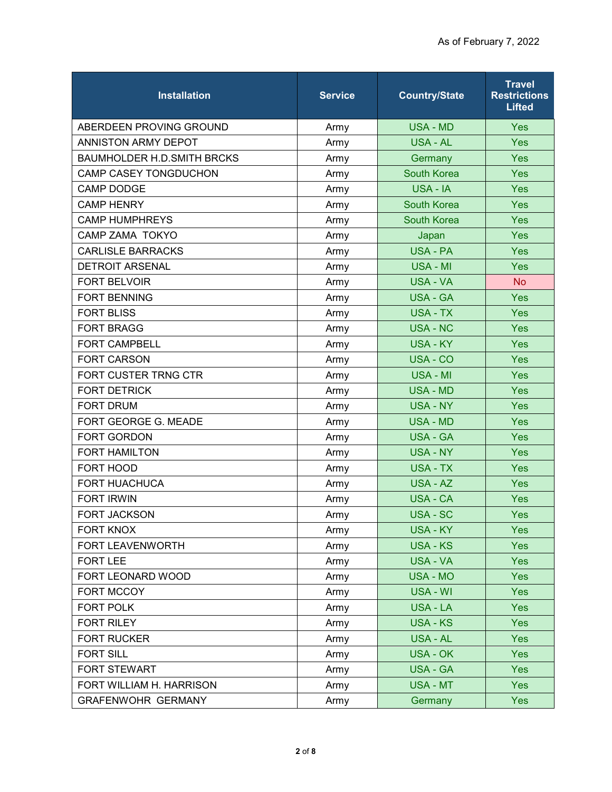| <b>Installation</b>               | <b>Service</b> | <b>Country/State</b> | <b>Travel</b><br><b>Restrictions</b><br><b>Lifted</b> |
|-----------------------------------|----------------|----------------------|-------------------------------------------------------|
| ABERDEEN PROVING GROUND           | Army           | <b>USA - MD</b>      | <b>Yes</b>                                            |
| ANNISTON ARMY DEPOT               | Army           | <b>USA - AL</b>      | Yes                                                   |
| <b>BAUMHOLDER H.D.SMITH BRCKS</b> | Army           | Germany              | Yes                                                   |
| CAMP CASEY TONGDUCHON             | Army           | <b>South Korea</b>   | Yes                                                   |
| <b>CAMP DODGE</b>                 | Army           | USA - IA             | Yes                                                   |
| <b>CAMP HENRY</b>                 | Army           | South Korea          | Yes                                                   |
| <b>CAMP HUMPHREYS</b>             | Army           | South Korea          | Yes                                                   |
| CAMP ZAMA TOKYO                   | Army           | Japan                | Yes                                                   |
| <b>CARLISLE BARRACKS</b>          | Army           | <b>USA - PA</b>      | Yes                                                   |
| <b>DETROIT ARSENAL</b>            | Army           | USA - MI             | Yes                                                   |
| <b>FORT BELVOIR</b>               | Army           | <b>USA - VA</b>      | <b>No</b>                                             |
| <b>FORT BENNING</b>               | Army           | <b>USA - GA</b>      | Yes                                                   |
| <b>FORT BLISS</b>                 | Army           | USA - TX             | Yes                                                   |
| <b>FORT BRAGG</b>                 | Army           | <b>USA - NC</b>      | Yes                                                   |
| <b>FORT CAMPBELL</b>              | Army           | <b>USA - KY</b>      | Yes                                                   |
| <b>FORT CARSON</b>                | Army           | USA - CO             | Yes                                                   |
| FORT CUSTER TRNG CTR              | Army           | USA - MI             | Yes                                                   |
| <b>FORT DETRICK</b>               | Army           | <b>USA - MD</b>      | Yes                                                   |
| <b>FORT DRUM</b>                  | Army           | <b>USA - NY</b>      | Yes                                                   |
| FORT GEORGE G. MEADE              | Army           | <b>USA - MD</b>      | Yes                                                   |
| FORT GORDON                       | Army           | <b>USA - GA</b>      | Yes                                                   |
| <b>FORT HAMILTON</b>              | Army           | <b>USA - NY</b>      | Yes                                                   |
| FORT HOOD                         | Army           | <b>USA - TX</b>      | Yes                                                   |
| <b>FORT HUACHUCA</b>              | Army           | USA - AZ             | Yes                                                   |
| <b>FORT IRWIN</b>                 | Army           | <b>USA - CA</b>      | Yes                                                   |
| <b>FORT JACKSON</b>               | Army           | USA - SC             | Yes                                                   |
| FORT KNOX                         | Army           | <b>USA - KY</b>      | Yes                                                   |
| FORT LEAVENWORTH                  | Army           | <b>USA - KS</b>      | Yes                                                   |
| <b>FORT LEE</b>                   | Army           | <b>USA - VA</b>      | Yes                                                   |
| FORT LEONARD WOOD                 | Army           | USA - MO             | <b>Yes</b>                                            |
| FORT MCCOY                        | Army           | USA - WI             | <b>Yes</b>                                            |
| FORT POLK                         | Army           | USA - LA             | Yes                                                   |
| <b>FORT RILEY</b>                 | Army           | <b>USA - KS</b>      | Yes                                                   |
| <b>FORT RUCKER</b>                | Army           | USA - AL             | <b>Yes</b>                                            |
| <b>FORT SILL</b>                  | Army           | <b>USA - OK</b>      | Yes                                                   |
| <b>FORT STEWART</b>               | Army           | <b>USA - GA</b>      | Yes                                                   |
| FORT WILLIAM H. HARRISON          | Army           | USA - MT             | <b>Yes</b>                                            |
| <b>GRAFENWOHR GERMANY</b>         | Army           | Germany              | Yes                                                   |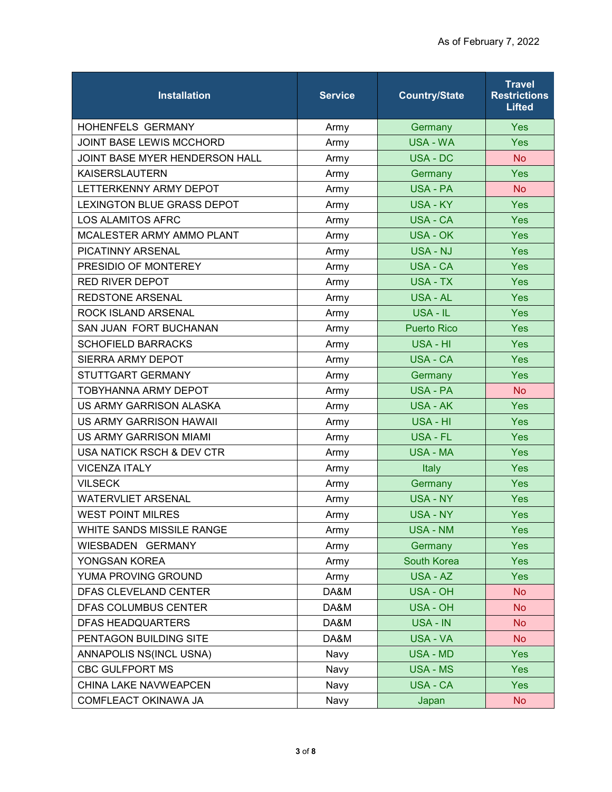| <b>Installation</b>            | <b>Service</b> | <b>Country/State</b> | <b>Travel</b><br><b>Restrictions</b><br><b>Lifted</b> |
|--------------------------------|----------------|----------------------|-------------------------------------------------------|
| <b>HOHENFELS GERMANY</b>       | Army           | Germany              | <b>Yes</b>                                            |
| JOINT BASE LEWIS MCCHORD       | Army           | <b>USA - WA</b>      | Yes                                                   |
| JOINT BASE MYER HENDERSON HALL | Army           | <b>USA - DC</b>      | <b>No</b>                                             |
| <b>KAISERSLAUTERN</b>          | Army           | Germany              | <b>Yes</b>                                            |
| LETTERKENNY ARMY DEPOT         | Army           | <b>USA - PA</b>      | <b>No</b>                                             |
| LEXINGTON BLUE GRASS DEPOT     | Army           | USA - KY             | Yes                                                   |
| <b>LOS ALAMITOS AFRC</b>       | Army           | <b>USA - CA</b>      | Yes                                                   |
| MCALESTER ARMY AMMO PLANT      | Army           | USA - OK             | <b>Yes</b>                                            |
| PICATINNY ARSENAL              | Army           | <b>USA - NJ</b>      | Yes                                                   |
| PRESIDIO OF MONTEREY           | Army           | <b>USA - CA</b>      | Yes                                                   |
| <b>RED RIVER DEPOT</b>         | Army           | <b>USA - TX</b>      | <b>Yes</b>                                            |
| <b>REDSTONE ARSENAL</b>        | Army           | USA - AL             | Yes                                                   |
| ROCK ISLAND ARSENAL            | Army           | USA - IL             | <b>Yes</b>                                            |
| <b>SAN JUAN FORT BUCHANAN</b>  | Army           | <b>Puerto Rico</b>   | Yes                                                   |
| <b>SCHOFIELD BARRACKS</b>      | Army           | USA - HI             | Yes                                                   |
| <b>SIERRA ARMY DEPOT</b>       | Army           | <b>USA - CA</b>      | Yes                                                   |
| STUTTGART GERMANY              | Army           | Germany              | Yes                                                   |
| <b>TOBYHANNA ARMY DEPOT</b>    | Army           | <b>USA - PA</b>      | <b>No</b>                                             |
| US ARMY GARRISON ALASKA        | Army           | <b>USA - AK</b>      | Yes                                                   |
| US ARMY GARRISON HAWAII        | Army           | USA - HI             | <b>Yes</b>                                            |
| <b>US ARMY GARRISON MIAMI</b>  | Army           | USA - FL             | Yes                                                   |
| USA NATICK RSCH & DEV CTR      | Army           | <b>USA - MA</b>      | Yes                                                   |
| <b>VICENZA ITALY</b>           | Army           | Italy                | <b>Yes</b>                                            |
| <b>VILSECK</b>                 | Army           | Germany              | Yes                                                   |
| <b>WATERVLIET ARSENAL</b>      | Army           | <b>USA - NY</b>      | <b>Yes</b>                                            |
| <b>WEST POINT MILRES</b>       | Army           | <b>USA - NY</b>      | Yes                                                   |
| WHITE SANDS MISSILE RANGE      | Army           | <b>USA - NM</b>      | Yes                                                   |
| WIESBADEN GERMANY              | Army           | Germany              | Yes                                                   |
| YONGSAN KOREA                  | Army           | South Korea          | Yes                                                   |
| YUMA PROVING GROUND            | Army           | USA - AZ             | Yes                                                   |
| DFAS CLEVELAND CENTER          | DA&M           | <b>USA - OH</b>      | <b>No</b>                                             |
| <b>DFAS COLUMBUS CENTER</b>    | DA&M           | <b>USA - OH</b>      | <b>No</b>                                             |
| <b>DFAS HEADQUARTERS</b>       | DA&M           | USA - IN             | <b>No</b>                                             |
| PENTAGON BUILDING SITE         | DA&M           | USA - VA             | <b>No</b>                                             |
| ANNAPOLIS NS(INCL USNA)        | Navy           | USA - MD             | Yes                                                   |
| <b>CBC GULFPORT MS</b>         | Navy           | <b>USA - MS</b>      | Yes                                                   |
| CHINA LAKE NAVWEAPCEN          | Navy           | USA - CA             | <b>Yes</b>                                            |
| COMFLEACT OKINAWA JA           | Navy           | Japan                | <b>No</b>                                             |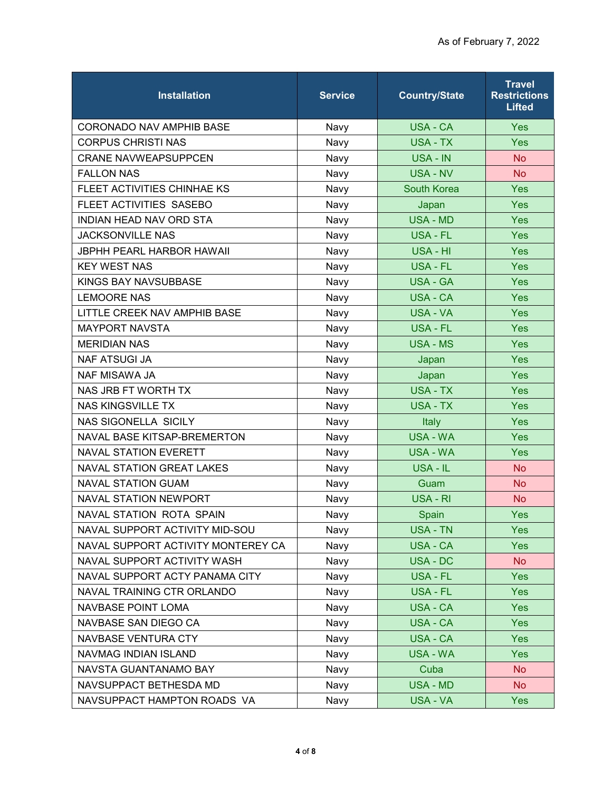| <b>Installation</b>                | <b>Service</b> | <b>Country/State</b> | <b>Travel</b><br><b>Restrictions</b><br><b>Lifted</b> |
|------------------------------------|----------------|----------------------|-------------------------------------------------------|
| CORONADO NAV AMPHIB BASE           | Navy           | USA - CA             | <b>Yes</b>                                            |
| <b>CORPUS CHRISTI NAS</b>          | Navy           | USA - TX             | Yes                                                   |
| <b>CRANE NAVWEAPSUPPCEN</b>        | Navy           | USA - IN             | <b>No</b>                                             |
| <b>FALLON NAS</b>                  | Navy           | <b>USA - NV</b>      | <b>No</b>                                             |
| FLEET ACTIVITIES CHINHAE KS        | Navy           | South Korea          | Yes                                                   |
| FLEET ACTIVITIES SASEBO            | Navy           | Japan                | Yes                                                   |
| <b>INDIAN HEAD NAV ORD STA</b>     | Navy           | <b>USA - MD</b>      | <b>Yes</b>                                            |
| <b>JACKSONVILLE NAS</b>            | Navy           | <b>USA - FL</b>      | Yes                                                   |
| <b>JBPHH PEARL HARBOR HAWAII</b>   | Navy           | USA - HI             | Yes                                                   |
| <b>KEY WEST NAS</b>                | Navy           | <b>USA - FL</b>      | Yes                                                   |
| KINGS BAY NAVSUBBASE               | Navy           | <b>USA - GA</b>      | <b>Yes</b>                                            |
| <b>LEMOORE NAS</b>                 | Navy           | USA - CA             | Yes                                                   |
| LITTLE CREEK NAV AMPHIB BASE       | Navy           | <b>USA - VA</b>      | Yes                                                   |
| <b>MAYPORT NAVSTA</b>              | Navy           | USA - FL             | <b>Yes</b>                                            |
| <b>MERIDIAN NAS</b>                | Navy           | <b>USA - MS</b>      | Yes                                                   |
| <b>NAF ATSUGI JA</b>               | Navy           | Japan                | Yes                                                   |
| <b>NAF MISAWA JA</b>               | Navy           | Japan                | Yes                                                   |
| NAS JRB FT WORTH TX                | Navy           | USA - TX             | Yes                                                   |
| <b>NAS KINGSVILLE TX</b>           | Navy           | <b>USA - TX</b>      | Yes                                                   |
| <b>NAS SIGONELLA SICILY</b>        | Navy           | Italy                | Yes                                                   |
| NAVAL BASE KITSAP-BREMERTON        | Navy           | <b>USA - WA</b>      | Yes                                                   |
| <b>NAVAL STATION EVERETT</b>       | Navy           | <b>USA - WA</b>      | Yes                                                   |
| <b>NAVAL STATION GREAT LAKES</b>   | Navy           | USA - IL             | <b>No</b>                                             |
| <b>NAVAL STATION GUAM</b>          | Navy           | Guam                 | <b>No</b>                                             |
| <b>NAVAL STATION NEWPORT</b>       | Navy           | USA - RI             | <b>No</b>                                             |
| NAVAL STATION ROTA SPAIN           | Navy           | Spain                | Yes                                                   |
| NAVAL SUPPORT ACTIVITY MID-SOU     | Navy           | <b>USA - TN</b>      | <b>Yes</b>                                            |
| NAVAL SUPPORT ACTIVITY MONTEREY CA | Navy           | <b>USA - CA</b>      | <b>Yes</b>                                            |
| NAVAL SUPPORT ACTIVITY WASH        | Navy           | USA - DC             | <b>No</b>                                             |
| NAVAL SUPPORT ACTY PANAMA CITY     | Navy           | USA - FL             | Yes                                                   |
| NAVAL TRAINING CTR ORLANDO         | Navy           | <b>USA - FL</b>      | <b>Yes</b>                                            |
| <b>NAVBASE POINT LOMA</b>          | Navy           | USA - CA             | <b>Yes</b>                                            |
| NAVBASE SAN DIEGO CA               | Navy           | USA - CA             | Yes                                                   |
| NAVBASE VENTURA CTY                | Navy           | <b>USA - CA</b>      | <b>Yes</b>                                            |
| NAVMAG INDIAN ISLAND               | Navy           | <b>USA - WA</b>      | Yes                                                   |
| NAVSTA GUANTANAMO BAY              | Navy           | Cuba                 | <b>No</b>                                             |
| NAVSUPPACT BETHESDA MD             | Navy           | <b>USA - MD</b>      | No                                                    |
| NAVSUPPACT HAMPTON ROADS VA        | Navy           | USA - VA             | Yes                                                   |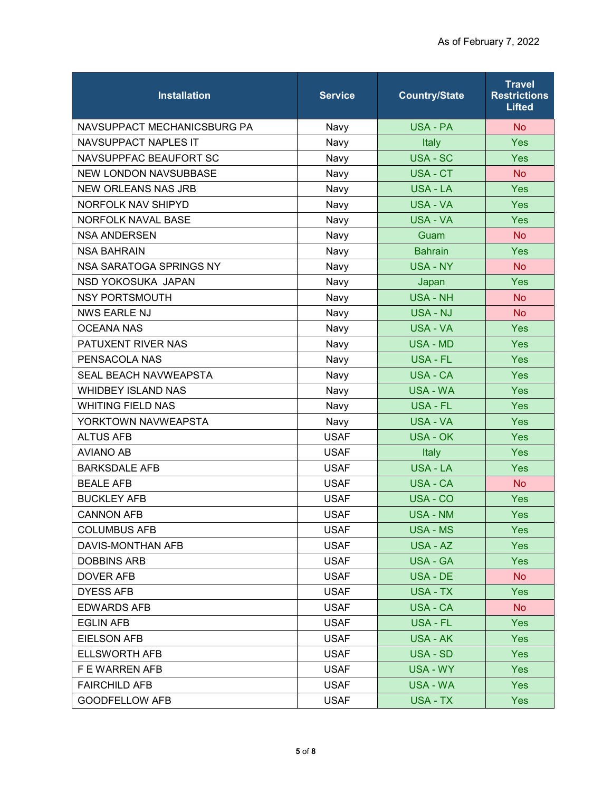| <b>Installation</b>          | <b>Service</b> | <b>Country/State</b> | <b>Travel</b><br><b>Restrictions</b><br><b>Lifted</b> |
|------------------------------|----------------|----------------------|-------------------------------------------------------|
| NAVSUPPACT MECHANICSBURG PA  | Navy           | <b>USA - PA</b>      | <b>No</b>                                             |
| <b>NAVSUPPACT NAPLES IT</b>  | Navy           | Italy                | Yes                                                   |
| NAVSUPPFAC BEAUFORT SC       | Navy           | <b>USA - SC</b>      | Yes                                                   |
| <b>NEW LONDON NAVSUBBASE</b> | Navy           | <b>USA - CT</b>      | <b>No</b>                                             |
| <b>NEW ORLEANS NAS JRB</b>   | Navy           | USA - LA             | Yes                                                   |
| NORFOLK NAV SHIPYD           | Navy           | <b>USA - VA</b>      | Yes                                                   |
| NORFOLK NAVAL BASE           | Navy           | <b>USA - VA</b>      | Yes                                                   |
| <b>NSA ANDERSEN</b>          | Navy           | Guam                 | <b>No</b>                                             |
| <b>NSA BAHRAIN</b>           | Navy           | <b>Bahrain</b>       | Yes                                                   |
| NSA SARATOGA SPRINGS NY      | Navy           | <b>USA - NY</b>      | <b>No</b>                                             |
| NSD YOKOSUKA JAPAN           | Navy           | Japan                | <b>Yes</b>                                            |
| <b>NSY PORTSMOUTH</b>        | Navy           | <b>USA - NH</b>      | <b>No</b>                                             |
| <b>NWS EARLE NJ</b>          | Navy           | <b>USA - NJ</b>      | <b>No</b>                                             |
| <b>OCEANA NAS</b>            | Navy           | <b>USA - VA</b>      | Yes                                                   |
| PATUXENT RIVER NAS           | Navy           | <b>USA - MD</b>      | Yes                                                   |
| PENSACOLA NAS                | Navy           | <b>USA - FL</b>      | Yes                                                   |
| <b>SEAL BEACH NAVWEAPSTA</b> | Navy           | <b>USA - CA</b>      | Yes                                                   |
| <b>WHIDBEY ISLAND NAS</b>    | Navy           | <b>USA - WA</b>      | Yes                                                   |
| <b>WHITING FIELD NAS</b>     | Navy           | <b>USA - FL</b>      | Yes                                                   |
| YORKTOWN NAVWEAPSTA          | Navy           | <b>USA - VA</b>      | <b>Yes</b>                                            |
| <b>ALTUS AFB</b>             | <b>USAF</b>    | <b>USA - OK</b>      | Yes                                                   |
| <b>AVIANO AB</b>             | <b>USAF</b>    | Italy                | Yes                                                   |
| <b>BARKSDALE AFB</b>         | <b>USAF</b>    | USA - LA             | Yes                                                   |
| <b>BEALE AFB</b>             | <b>USAF</b>    | <b>USA - CA</b>      | <b>No</b>                                             |
| <b>BUCKLEY AFB</b>           | <b>USAF</b>    | USA - CO             | Yes                                                   |
| <b>CANNON AFB</b>            | <b>USAF</b>    | <b>USA - NM</b>      | Yes                                                   |
| <b>COLUMBUS AFB</b>          | <b>USAF</b>    | USA - MS             | Yes                                                   |
| DAVIS-MONTHAN AFB            | <b>USAF</b>    | USA - AZ             | <b>Yes</b>                                            |
| <b>DOBBINS ARB</b>           | <b>USAF</b>    | <b>USA - GA</b>      | <b>Yes</b>                                            |
| <b>DOVER AFB</b>             | <b>USAF</b>    | USA - DE             | No.                                                   |
| <b>DYESS AFB</b>             | <b>USAF</b>    | USA - TX             | <b>Yes</b>                                            |
| <b>EDWARDS AFB</b>           | <b>USAF</b>    | USA - CA             | No                                                    |
| <b>EGLIN AFB</b>             | <b>USAF</b>    | USA - FL             | <b>Yes</b>                                            |
| <b>EIELSON AFB</b>           | <b>USAF</b>    | <b>USA - AK</b>      | <b>Yes</b>                                            |
| <b>ELLSWORTH AFB</b>         | <b>USAF</b>    | USA - SD             | <b>Yes</b>                                            |
| F E WARREN AFB               | <b>USAF</b>    | USA - WY             | <b>Yes</b>                                            |
| <b>FAIRCHILD AFB</b>         | <b>USAF</b>    | USA - WA             | <b>Yes</b>                                            |
| <b>GOODFELLOW AFB</b>        | <b>USAF</b>    | USA - TX             | <b>Yes</b>                                            |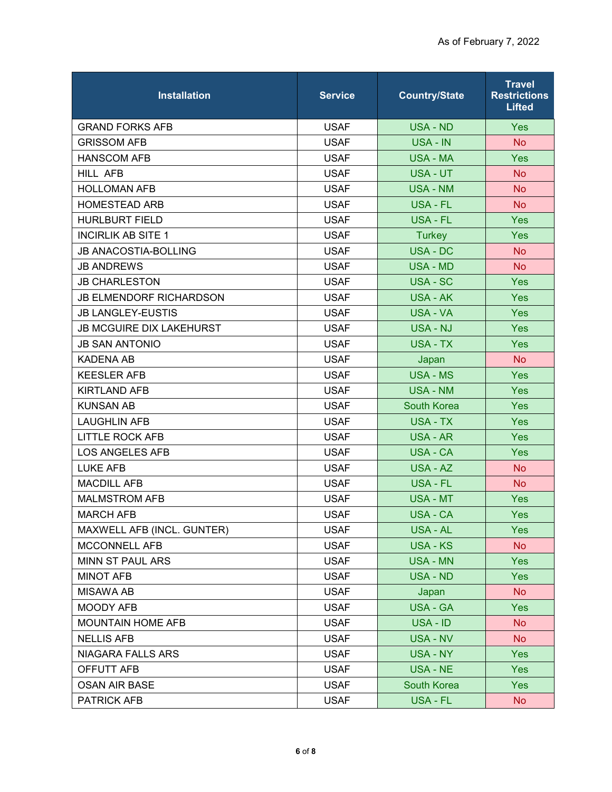| <b>Installation</b>             | <b>Service</b> | <b>Country/State</b> | <b>Travel</b><br><b>Restrictions</b><br><b>Lifted</b> |
|---------------------------------|----------------|----------------------|-------------------------------------------------------|
| <b>GRAND FORKS AFB</b>          | <b>USAF</b>    | <b>USA - ND</b>      | <b>Yes</b>                                            |
| <b>GRISSOM AFB</b>              | <b>USAF</b>    | USA - IN             | <b>No</b>                                             |
| <b>HANSCOM AFB</b>              | <b>USAF</b>    | <b>USA - MA</b>      | <b>Yes</b>                                            |
| HILL AFB                        | <b>USAF</b>    | USA - UT             | <b>No</b>                                             |
| <b>HOLLOMAN AFB</b>             | <b>USAF</b>    | <b>USA - NM</b>      | <b>No</b>                                             |
| <b>HOMESTEAD ARB</b>            | <b>USAF</b>    | USA - FL             | <b>No</b>                                             |
| <b>HURLBURT FIELD</b>           | <b>USAF</b>    | <b>USA - FL</b>      | Yes                                                   |
| <b>INCIRLIK AB SITE 1</b>       | <b>USAF</b>    | <b>Turkey</b>        | Yes                                                   |
| <b>JB ANACOSTIA-BOLLING</b>     | <b>USAF</b>    | <b>USA - DC</b>      | <b>No</b>                                             |
| <b>JB ANDREWS</b>               | <b>USAF</b>    | <b>USA - MD</b>      | <b>No</b>                                             |
| <b>JB CHARLESTON</b>            | <b>USAF</b>    | USA - SC             | Yes                                                   |
| <b>JB ELMENDORF RICHARDSON</b>  | <b>USAF</b>    | USA - AK             | Yes                                                   |
| <b>JB LANGLEY-EUSTIS</b>        | <b>USAF</b>    | <b>USA - VA</b>      | <b>Yes</b>                                            |
| <b>JB MCGUIRE DIX LAKEHURST</b> | <b>USAF</b>    | <b>USA - NJ</b>      | Yes                                                   |
| <b>JB SAN ANTONIO</b>           | <b>USAF</b>    | USA - TX             | Yes                                                   |
| <b>KADENA AB</b>                | <b>USAF</b>    | Japan                | <b>No</b>                                             |
| <b>KEESLER AFB</b>              | <b>USAF</b>    | <b>USA - MS</b>      | Yes                                                   |
| <b>KIRTLAND AFB</b>             | <b>USAF</b>    | <b>USA - NM</b>      | <b>Yes</b>                                            |
| <b>KUNSAN AB</b>                | <b>USAF</b>    | <b>South Korea</b>   | Yes                                                   |
| <b>LAUGHLIN AFB</b>             | <b>USAF</b>    | USA - TX             | Yes                                                   |
| <b>LITTLE ROCK AFB</b>          | <b>USAF</b>    | <b>USA - AR</b>      | <b>Yes</b>                                            |
| <b>LOS ANGELES AFB</b>          | <b>USAF</b>    | USA - CA             | Yes                                                   |
| <b>LUKE AFB</b>                 | <b>USAF</b>    | USA - AZ             | <b>No</b>                                             |
| <b>MACDILL AFB</b>              | <b>USAF</b>    | <b>USA - FL</b>      | <b>No</b>                                             |
| <b>MALMSTROM AFB</b>            | <b>USAF</b>    | <b>USA - MT</b>      | <b>Yes</b>                                            |
| <b>MARCH AFB</b>                | <b>USAF</b>    | <b>USA - CA</b>      | Yes                                                   |
| MAXWELL AFB (INCL. GUNTER)      | <b>USAF</b>    | USA - AL             | <b>Yes</b>                                            |
| MCCONNELL AFB                   | <b>USAF</b>    | USA - KS             | <b>No</b>                                             |
| MINN ST PAUL ARS                | <b>USAF</b>    | <b>USA - MN</b>      | <b>Yes</b>                                            |
| <b>MINOT AFB</b>                | <b>USAF</b>    | <b>USA - ND</b>      | <b>Yes</b>                                            |
| <b>MISAWA AB</b>                | <b>USAF</b>    | Japan                | <b>No</b>                                             |
| <b>MOODY AFB</b>                | <b>USAF</b>    | USA - GA             | Yes                                                   |
| <b>MOUNTAIN HOME AFB</b>        | <b>USAF</b>    | USA - ID             | <b>No</b>                                             |
| <b>NELLIS AFB</b>               | <b>USAF</b>    | USA - NV             | <b>No</b>                                             |
| <b>NIAGARA FALLS ARS</b>        | <b>USAF</b>    | <b>USA - NY</b>      | <b>Yes</b>                                            |
| OFFUTT AFB                      | <b>USAF</b>    | USA - NE             | <b>Yes</b>                                            |
| <b>OSAN AIR BASE</b>            | <b>USAF</b>    | South Korea          | <b>Yes</b>                                            |
| <b>PATRICK AFB</b>              | <b>USAF</b>    | USA - FL             | No                                                    |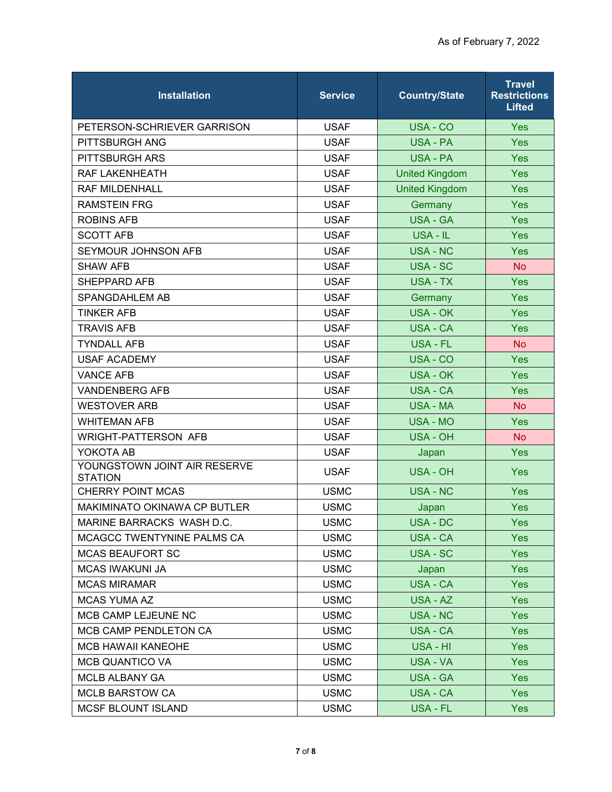| <b>Installation</b>                            | <b>Service</b> | <b>Country/State</b>  | <b>Travel</b><br><b>Restrictions</b><br><b>Lifted</b> |
|------------------------------------------------|----------------|-----------------------|-------------------------------------------------------|
| PETERSON-SCHRIEVER GARRISON                    | <b>USAF</b>    | USA - CO              | <b>Yes</b>                                            |
| PITTSBURGH ANG                                 | <b>USAF</b>    | <b>USA - PA</b>       | <b>Yes</b>                                            |
| PITTSBURGH ARS                                 | <b>USAF</b>    | <b>USA - PA</b>       | Yes                                                   |
| RAF LAKENHEATH                                 | <b>USAF</b>    | <b>United Kingdom</b> | Yes                                                   |
| <b>RAF MILDENHALL</b>                          | <b>USAF</b>    | <b>United Kingdom</b> | Yes                                                   |
| <b>RAMSTEIN FRG</b>                            | <b>USAF</b>    | Germany               | Yes                                                   |
| <b>ROBINS AFB</b>                              | <b>USAF</b>    | <b>USA - GA</b>       | Yes                                                   |
| <b>SCOTT AFB</b>                               | <b>USAF</b>    | USA - IL              | <b>Yes</b>                                            |
| SEYMOUR JOHNSON AFB                            | <b>USAF</b>    | <b>USA - NC</b>       | Yes                                                   |
| <b>SHAW AFB</b>                                | <b>USAF</b>    | USA - SC              | <b>No</b>                                             |
| SHEPPARD AFB                                   | <b>USAF</b>    | <b>USA - TX</b>       | Yes                                                   |
| SPANGDAHLEM AB                                 | <b>USAF</b>    | Germany               | Yes                                                   |
| <b>TINKER AFB</b>                              | <b>USAF</b>    | <b>USA - OK</b>       | Yes                                                   |
| <b>TRAVIS AFB</b>                              | <b>USAF</b>    | <b>USA - CA</b>       | <b>Yes</b>                                            |
| <b>TYNDALL AFB</b>                             | <b>USAF</b>    | USA - FL              | <b>No</b>                                             |
| <b>USAF ACADEMY</b>                            | <b>USAF</b>    | USA - CO              | Yes                                                   |
| <b>VANCE AFB</b>                               | <b>USAF</b>    | <b>USA - OK</b>       | Yes                                                   |
| <b>VANDENBERG AFB</b>                          | <b>USAF</b>    | USA - CA              | Yes                                                   |
| <b>WESTOVER ARB</b>                            | <b>USAF</b>    | <b>USA - MA</b>       | <b>No</b>                                             |
| <b>WHITEMAN AFB</b>                            | <b>USAF</b>    | <b>USA - MO</b>       | Yes                                                   |
| <b>WRIGHT-PATTERSON AFB</b>                    | <b>USAF</b>    | USA - OH              | <b>No</b>                                             |
| YOKOTA AB                                      | <b>USAF</b>    | Japan                 | Yes                                                   |
| YOUNGSTOWN JOINT AIR RESERVE<br><b>STATION</b> | <b>USAF</b>    | <b>USA - OH</b>       | <b>Yes</b>                                            |
| <b>CHERRY POINT MCAS</b>                       | <b>USMC</b>    | <b>USA - NC</b>       | <b>Yes</b>                                            |
| <b>MAKIMINATO OKINAWA CP BUTLER</b>            | <b>USMC</b>    | Japan                 | Yes                                                   |
| MARINE BARRACKS WASH D.C.                      | <b>USMC</b>    | USA - DC              | Yes                                                   |
| MCAGCC TWENTYNINE PALMS CA                     | <b>USMC</b>    | USA - CA              | <b>Yes</b>                                            |
| <b>MCAS BEAUFORT SC</b>                        | <b>USMC</b>    | USA - SC              | Yes                                                   |
| <b>MCAS IWAKUNI JA</b>                         | <b>USMC</b>    | Japan                 | Yes                                                   |
| <b>MCAS MIRAMAR</b>                            | <b>USMC</b>    | <b>USA - CA</b>       | <b>Yes</b>                                            |
| <b>MCAS YUMA AZ</b>                            | <b>USMC</b>    | USA - AZ              | <b>Yes</b>                                            |
| MCB CAMP LEJEUNE NC                            | <b>USMC</b>    | <b>USA - NC</b>       | Yes                                                   |
| MCB CAMP PENDLETON CA                          | <b>USMC</b>    | USA - CA              | <b>Yes</b>                                            |
| <b>MCB HAWAII KANEOHE</b>                      | <b>USMC</b>    | USA - HI              | <b>Yes</b>                                            |
| <b>MCB QUANTICO VA</b>                         | <b>USMC</b>    | USA - VA              | Yes                                                   |
| <b>MCLB ALBANY GA</b>                          | <b>USMC</b>    | <b>USA - GA</b>       | <b>Yes</b>                                            |
| <b>MCLB BARSTOW CA</b>                         | <b>USMC</b>    | <b>USA - CA</b>       | <b>Yes</b>                                            |
| <b>MCSF BLOUNT ISLAND</b>                      | <b>USMC</b>    | USA - FL              | <b>Yes</b>                                            |